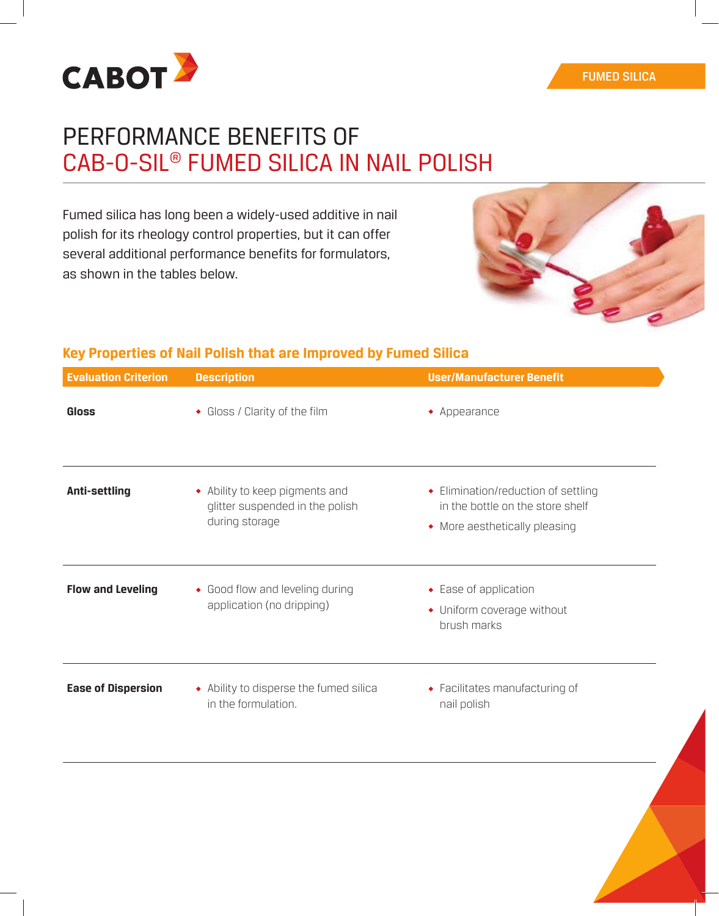

# PERFORMANCE BENEFITS OF CAB-O-SIL® FUMED SILICA IN NAIL POLISH

Fumed silica has long been a widely-used additive in nail polish for its rheology control properties, but it can offer several additional performance benefits for formulators, as shown in the tables below.



# **Key Properties of Nail Polish that are Improved by Fumed Silica**

| <b>Evaluation Criterion</b> | <b>Description</b>                                                                  | <b>User/Manufacturer Benefit</b><br>$\bullet$ Appearance<br>• Elimination/reduction of settling<br>in the bottle on the store shelf<br>• More aesthetically pleasing<br>• Ease of application<br>• Uniform coverage without<br>brush marks |  |  |
|-----------------------------|-------------------------------------------------------------------------------------|--------------------------------------------------------------------------------------------------------------------------------------------------------------------------------------------------------------------------------------------|--|--|
| <b>Gloss</b>                | • Gloss / Clarity of the film                                                       |                                                                                                                                                                                                                                            |  |  |
| Anti-settling               | • Ability to keep pigments and<br>glitter suspended in the polish<br>during storage |                                                                                                                                                                                                                                            |  |  |
| <b>Flow and Leveling</b>    | • Good flow and leveling during<br>application (no dripping)                        |                                                                                                                                                                                                                                            |  |  |
| <b>Ease of Dispersion</b>   | • Ability to disperse the fumed silica<br>in the formulation.                       | • Facilitates manufacturing of<br>nail polish                                                                                                                                                                                              |  |  |